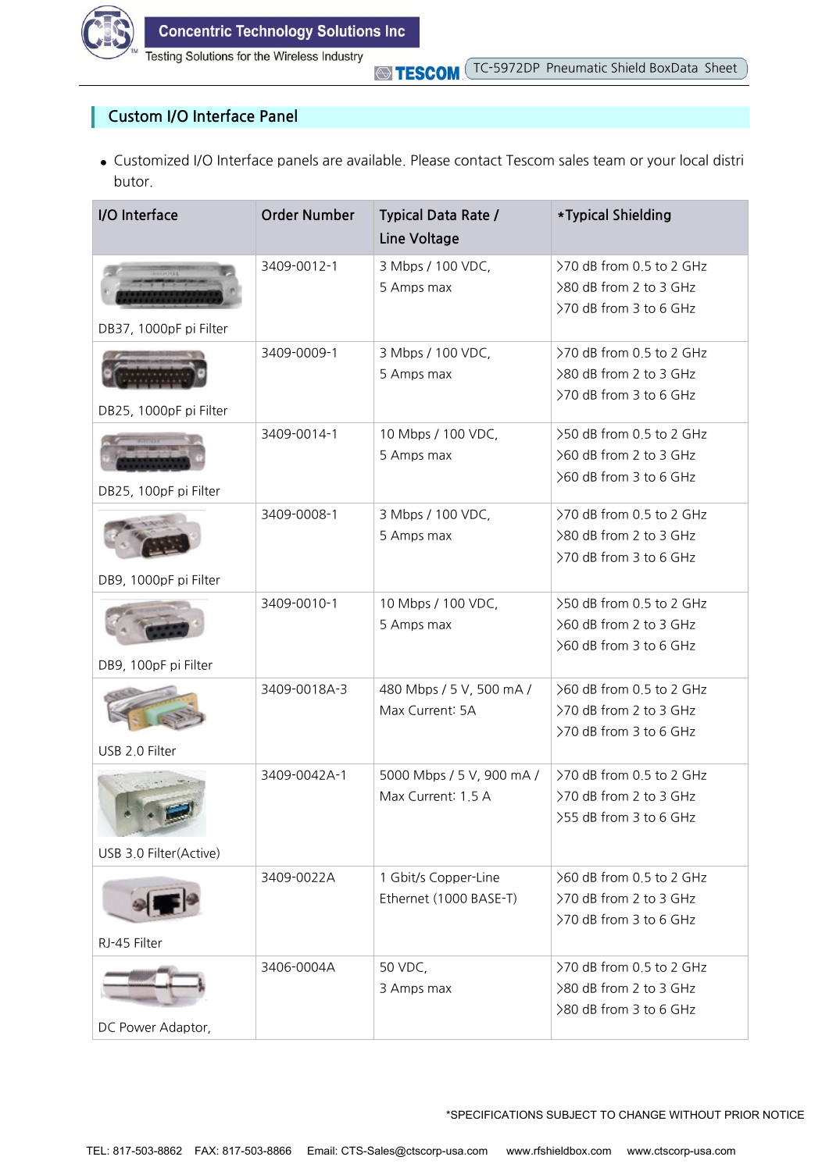

Testing Solutions for the Wireless Industry

**STESCOM** 

## **Custom I/O Interface Panel**

**●** Customized I/O Interface panels are available. Please contact Tescom sales team or your local distri butor.

| I/O Interface                                    | <b>Order Number</b> | <b>Typical Data Rate /</b><br>Line Voltage      | *Typical Shielding                                                           |
|--------------------------------------------------|---------------------|-------------------------------------------------|------------------------------------------------------------------------------|
|                                                  | 3409-0012-1         | 3 Mbps / 100 VDC,<br>5 Amps max                 | >70 dB from 0.5 to 2 GHz<br>>80 dB from 2 to 3 GHz<br>>70 dB from 3 to 6 GHz |
| DB37, 1000pF pi Filter<br>DB25, 1000pF pi Filter | 3409-0009-1         | 3 Mbps / 100 VDC,<br>5 Amps max                 | >70 dB from 0.5 to 2 GHz<br>>80 dB from 2 to 3 GHz<br>>70 dB from 3 to 6 GHz |
| DB25, 100pF pi Filter                            | 3409-0014-1         | 10 Mbps / 100 VDC,<br>5 Amps max                | >50 dB from 0.5 to 2 GHz<br>>60 dB from 2 to 3 GHz<br>>60 dB from 3 to 6 GHz |
| DB9, 1000pF pi Filter                            | 3409-0008-1         | 3 Mbps / 100 VDC,<br>5 Amps max                 | >70 dB from 0.5 to 2 GHz<br>>80 dB from 2 to 3 GHz<br>>70 dB from 3 to 6 GHz |
| DB9, 100pF pi Filter                             | 3409-0010-1         | 10 Mbps / 100 VDC,<br>5 Amps max                | >50 dB from 0.5 to 2 GHz<br>>60 dB from 2 to 3 GHz<br>>60 dB from 3 to 6 GHz |
| USB 2.0 Filter                                   | 3409-0018A-3        | 480 Mbps / 5 V, 500 mA /<br>Max Current: 5A     | >60 dB from 0.5 to 2 GHz<br>>70 dB from 2 to 3 GHz<br>>70 dB from 3 to 6 GHz |
| USB 3.0 Filter(Active)                           | 3409-0042A-1        | 5000 Mbps / 5 V, 900 mA /<br>Max Current: 1.5 A | >70 dB from 0.5 to 2 GHz<br>>70 dB from 2 to 3 GHz<br>>55 dB from 3 to 6 GHz |
| RJ-45 Filter                                     | 3409-0022A          | 1 Gbit/s Copper-Line<br>Ethernet (1000 BASE-T)  | >60 dB from 0.5 to 2 GHz<br>>70 dB from 2 to 3 GHz<br>>70 dB from 3 to 6 GHz |
| DC Power Adaptor,                                | 3406-0004A          | 50 VDC,<br>3 Amps max                           | >70 dB from 0.5 to 2 GHz<br>>80 dB from 2 to 3 GHz<br>>80 dB from 3 to 6 GHz |